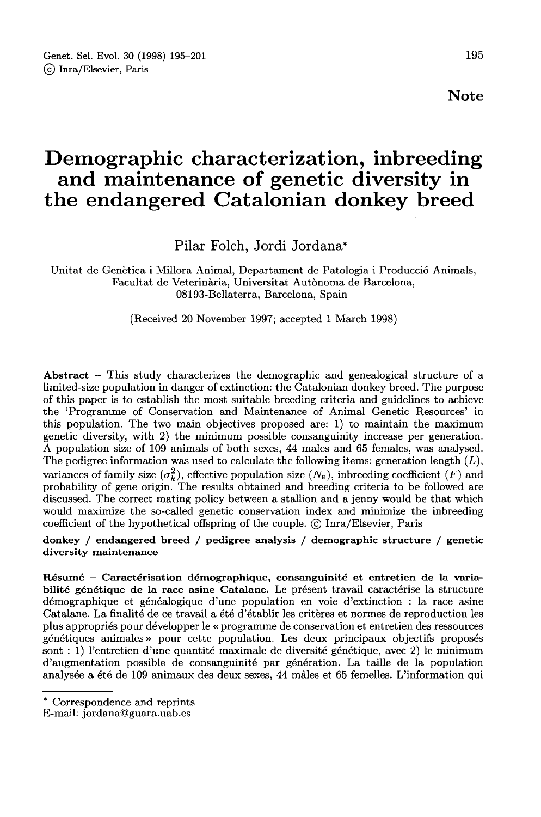# Demographic characterization, inbreeding and maintenance of genetic diversity in the endangered Catalonian donkey breed

Pilar Folch, Jordi Jordana\*

Unitat de Genètica i Millora Animal, Departament de Patologia i Producciô Animals, Facultat de Veterinària, Universitat Autonoma de Barcelona, 08193-Bellaterra, Barcelona, Spain

(Received 20 November 1997; accepted 1 March 1998)

Abstract – This study characterizes the demographic and genealogical structure of a limited-size population in danger of extinction: the Catalonian donkey breed. The purpose of this paper is to establish the most suitable breeding criteria and guidelines to achieve the 'Programme of Conservation and Maintenance of Animal Genetic Resources' in this population. The two main objectives proposed are: 1) to maintain the maximum genetic diversity, with 2) the minimum possible consanguinity increase per generation. A population size of 109 animals of both sexes, 44 males and 65 females, was analysed. The pedigree information was used to calculate the following items: generation length  $(L)$ , variances of family size  $(\sigma_k^2)$ , effective population size  $(N_e)$ , inbreeding coefficient  $(F)$  and probability of gene origin. The results obtained and breeding criteria to be followed are discussed. The correct mating policy between a stallion and a jenny would be that which would maximize the so-called genetic conservation index and minimize the inbreeding coefficient of the hypothetical offspring of the couple. © Inra/Elsevier, Paris

donkey / endangered breed / pedigree analysis / demographic structure / genetic diversity maintenance

Résumé - Caractérisation démographique, consanguinité et entretien de la variabilité génétique de la race asine Catalane. Le présent travail caractérise la structure démographique et généalogique d'une population en voie d'extinction : la race asine Catalane. La finalité de ce travail a été d'établir les critères et normes de reproduction les plus appropriés pour développer le « programme de conservation et entretien des ressources génétiques animales» pour cette population. Les deux principaux objectifs proposés sont : 1) l'entretien d'une quantité maximale de diversité génétique, avec 2) le minimum d'augmentation possible de consanguinité par génération. La taille de la population analysée a été de 109 animaux des deux sexes, 44 mâles et 65 femelles. L'information qui

<sup>\*</sup> Correspondence and reprints

E-mail: jordana@guara.uab.es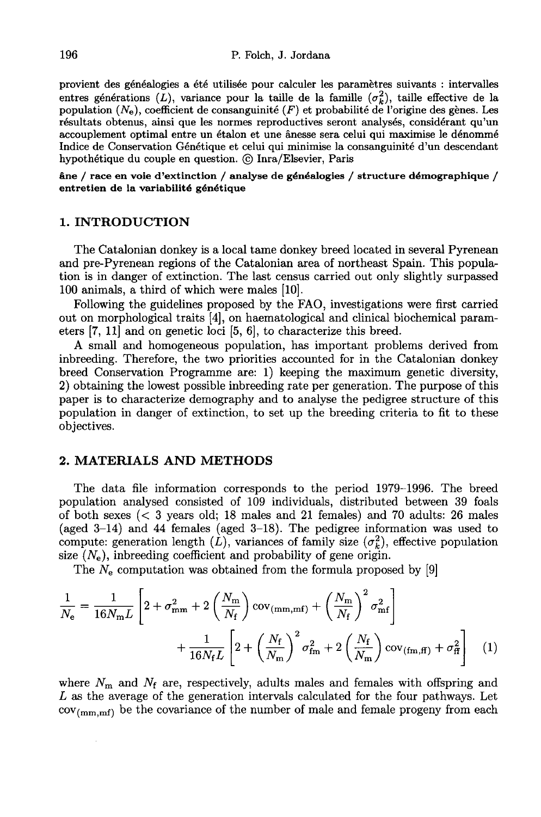provient des généalogies a été utilisée pour calculer les paramètres suivants : intervalles entres générations (L), variance pour la taille de la famille  $(\sigma_k^2)$ , taille effective de la population  $(N_e)$ , coefficient de consanguinité  $(F)$  et probabilité de l'origine des gènes. Les résultats obtenus, ainsi que les normes reproductives seront analysés, considérant qu'un accouplement optimal entre un étalon et une ânesse sera celui qui maximise le dénommé Indice de Conservation Génétique et celui qui minimise la consanguinité d'un descendant hypothétique du couple en question. © Inra/Elsevier, Paris

âne / race en voie d'extinction / analyse de généalogies / structure démographique / entretien de la variabilité génétique

## 1. INTRODUCTION

The Catalonian donkey is a local tame donkey breed located in several Pyrenean and pre-Pyrenean regions of the Catalonian area of northeast Spain. This population is in danger of extinction. The last census carried out only slightly surpassed 100 animals, a third of which were males [10].

Following the guidelines proposed by the FAO, investigations were first carried out on morphological traits (4!, on haematological and clinical biochemical parameters  $[7, 11]$  and on genetic loci  $[5, 6]$ , to characterize this breed.

A small and homogeneous population, has important problems derived from inbreeding. Therefore, the two priorities accounted for in the Catalonian donkey breed Conservation Programme are: 1) keeping the maximum genetic diversity, 2) obtaining the lowest possible inbreeding rate per generation. The purpose of this paper is to characterize demography and to analyse the pedigree structure of this population in danger of extinction, to set up the breeding criteria to fit to these objectives.

## 2. MATERIALS AND METHODS

The data file information corresponds to the period 1979-1996. The breed population analysed consisted of 109 individuals, distributed between 39 foals of both sexes (< 3 years old; 18 males and 21 females) and 70 adults: 26 males (aged 3-14) and 44 females (aged 3-18). The pedigree information was used to compute: generation length  $(L)$ , variances of family size  $(\sigma_k^2)$ , effective population size  $(N_e)$ , inbreeding coefficient and probability of gene origin.

The  $N_e$  computation was obtained from the formula proposed by [9]

$$
\frac{1}{N_{\rm e}} = \frac{1}{16N_{\rm m}L} \left[ 2 + \sigma_{\rm mm}^2 + 2\left(\frac{N_{\rm m}}{N_{\rm f}}\right) \text{cov}_{(\rm mm,mf)} + \left(\frac{N_{\rm m}}{N_{\rm f}}\right)^2 \sigma_{\rm mf}^2 \right] + \frac{1}{16N_{\rm f}L} \left[ 2 + \left(\frac{N_{\rm f}}{N_{\rm m}}\right)^2 \sigma_{\rm fm}^2 + 2\left(\frac{N_{\rm f}}{N_{\rm m}}\right) \text{cov}_{(\rm fm,ff)} + \sigma_{\rm ff}^2 \right] \tag{1}
$$

where  $N_{\rm m}$  and  $N_{\rm f}$  are, respectively, adults males and females with offspring and L as the average of the generation intervals calculated for the four pathways. Let  $cov_{(mm,mf)}$  be the covariance of the number of male and female progeny from each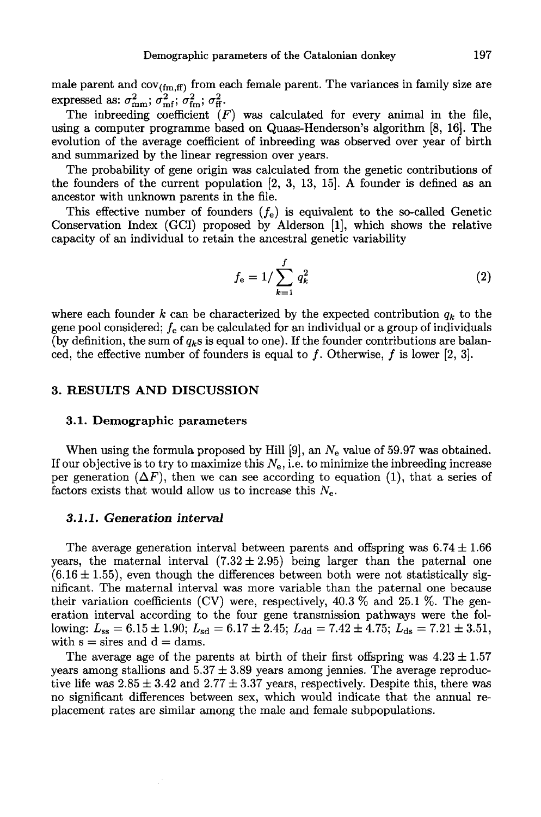Demographic parameters of the Catalonian donkey 197<br>male parent and  $cov_{(fm,ff)}$  from each female parent. The variances in family size are expressed as:  $\sigma_{mm}^2$ ;  $\sigma_{mf}^2$ ;  $\sigma_{fm}^2$ ;  $\sigma_{ff}^2$ .

The inbreeding coefficient  $(F)$  was calculated for every animal in the file, using a computer programme based on Quaas-Henderson's algorithm [8, 16). The evolution of the average coefficient of inbreeding was observed over year of birth and summarized by the linear regression over years.

The probability of gene origin was calculated from the genetic contributions of the founders of the current population [2, 3, 13, 15]. A founder is defined as an ancestor with unknown parents in the file.

This effective number of founders  $(f_e)$  is equivalent to the so-called Genetic Conservation Index (GCI) proposed by Alderson [1], which shows the relative capacity of an individual to retain the ancestral genetic variability

$$
f_{\rm e} = 1/\sum_{k=1}^{f} q_k^2 \tag{2}
$$

where each founder k can be characterized by the expected contribution  $q_k$  to the gene pool considered;  $f_e$  can be calculated for an individual or a group of individuals (by definition, the sum of  $q_k$ s is equal to one). If the founder contributions are balanced, the effective number of founders is equal to f. Otherwise, f is lower [2, 3].

## 3. RESULTS AND DISCUSSION

#### 3.1. Demographic parameters

When using the formula proposed by Hill [9], an  $N_e$  value of 59.97 was obtained. If our objective is to try to maximize this  $N_e$ , i.e. to minimize the inbreeding increase per generation  $(\Delta F)$ , then we can see according to equation (1), that a series of factors exists that would allow us to increase this  $N_{e}$ .

## 3.1.1. Generation interval

The average generation interval between parents and offspring was  $6.74 \pm 1.66$ years, the maternal interval  $(7.32 \pm 2.95)$  being larger than the paternal one  $(6.16 \pm 1.55)$ , even though the differences between both were not statistically significant. The maternal interval was more variable than the paternal one because their variation coefficients (CV) were, respectively,  $40.3\%$  and  $25.1\%$ . The generation interval according to the four gene transmission pathways were the following:  $L_{ss} = 6.15 \pm 1.90$ ;  $L_{sd} = 6.17 \pm 2.45$ ;  $L_{dd} = 7.42 \pm 4.75$ ;  $L_{ds} = 7.21 \pm 3.51$ , with  $s =$  sires and  $d =$  dams.

The average age of the parents at birth of their first offspring was  $4.23 \pm 1.57$ years among stallions and  $5.37 \pm 3.89$  years among jennies. The average reproductive life was  $2.85 \pm 3.42$  and  $2.77 \pm 3.37$  years, respectively. Despite this, there was no significant differences between sex, which would indicate that the annual replacement rates are similar among the male and female subpopulations.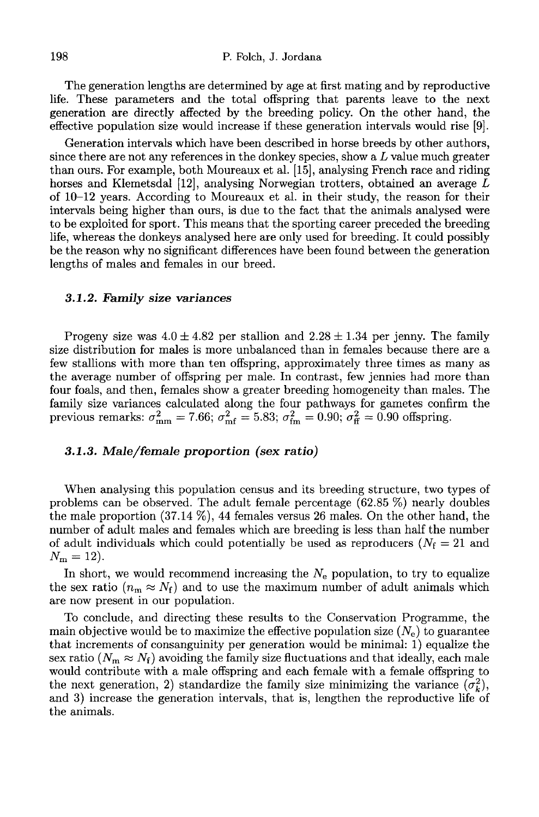The generation lengths are determined by age at first mating and by reproductive life. These parameters and the total offspring that parents leave to the next generation are directly affected by the breeding policy. On the other hand, the effective population size would increase if these generation intervals would rise (9!.

Generation intervals which have been described in horse breeds by other authors, since there are not any references in the donkey species, show a  $L$  value much greater than ours. For example, both Moureaux et al. [15], analysing French race and riding horses and Klemetsdal  $[12]$ , analysing Norwegian trotters, obtained an average L of 10-12 years. According to Moureaux et al. in their study, the reason for their intervals being higher than ours, is due to the fact that the animals analysed were to be exploited for sport. This means that the sporting career preceded the breeding life, whereas the donkeys analysed here are only used for breeding. It could possibly be the reason why no significant differences have been found between the generation lengths of males and females in our breed.

## 3.1.2. Family size variances

Progeny size was  $4.0 \pm 4.82$  per stallion and  $2.28 \pm 1.34$  per jenny. The family size distribution for males is more unbalanced than in females because there are a few stallions with more than ten offspring, approximately three times as many as the average number of offspring per male. In contrast, few jennies had more than four foals, and then, females show a greater breeding homogeneity than males. The family size variances calculated along the four pathways for gametes confirm the previous remarks:  $\sigma_{\text{mm}}^2 = 7.66$ ;  $\sigma_{\text{mf}}^2 = 5.83$ ;  $\sigma_{\text{fm}}^2 = 0.90$ ;  $\sigma_{\text{ff}}^2 = 0.90$  offspring.

## 3.1.3. Male/female proportion (sex ratio)

When analysing this population census and its breeding structure, two types of problems can be observed. The adult female percentage (62.85 %) nearly doubles the male proportion (37.14 %), 44 females versus 26 males. On the other hand, the number of adult males and females which are breeding is less than half the number of adult individuals which could potentially be used as reproducers ( $N_f = 21$  and of adult ir $N_{\rm m}=12$ ).

In short, we would recommend increasing the  $N_e$  population, to try to equalize the sex ratio  $(n_m \approx N_f)$  and to use the maximum number of adult animals which are now present in our population.

To conclude, and directing these results to the Conservation Programme, the main objective would be to maximize the effective population size  $(N_e)$  to guarantee that increments of consanguinity per generation would be minimal: 1) equalize the sex ratio ( $N_m \approx N_f$ ) avoiding the family size fluctuations and that ideally, each male would contribute with a male offspring and each female with a female offspring to the next generation, 2) standardize the family size minimizing the variance  $(\sigma_k^2)$ , and 3) increase the generation intervals, that is, lengthen the reproductive life of the animals.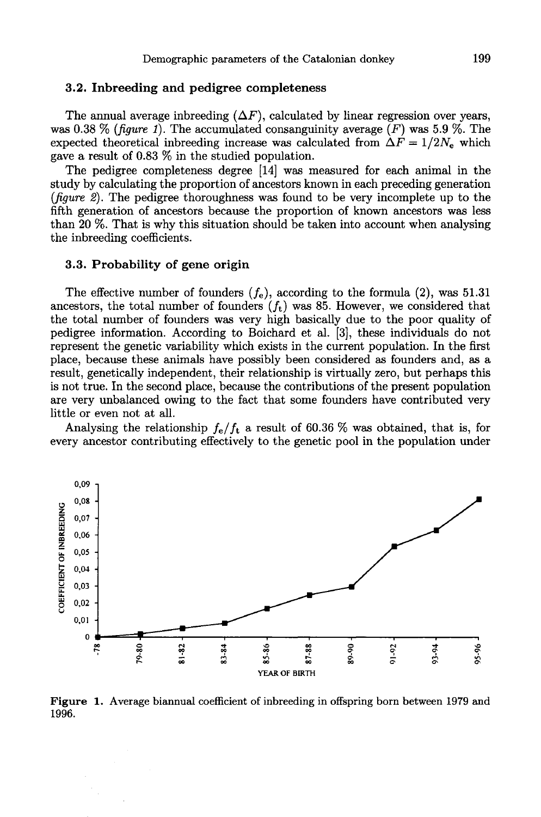## 3.2. Inbreeding and pedigree completeness

The annual average inbreeding  $(\Delta F)$ , calculated by linear regression over years, was 0.38 % (figure 1). The accumulated consanguinity average  $(F)$  was 5.9 %. The The annual average inbreeding  $(\Delta F)$ , calculated by linear regression over years, was 0.38 % (*figure 1*). The accumulated consanguinity average (*F*) was 5.9 %. The expected theoretical inbreeding increase was calculated gave a result of 0.83 % in the studied population.

The pedigree completeness degree [14] was measured for each animal in the study by calculating the proportion of ancestors known in each preceding generation (figure 2). The pedigree thoroughness was found to be very incomplete up to the fifth generation of ancestors because the proportion of known ancestors was less than 20 %. That is why this situation should be taken into account when analysing the inbreeding coefficients.

## 3.3. Probability of gene origin

The effective number of founders  $(f_e)$ , according to the formula (2), was 51.31<br>restors the total number of founders  $(f_e)$  was 85. However, we considered that The effective number of founders  $(f_e)$ , according to the formula (2), was 51.31 ancestors, the total number of founders  $(f_t)$  was 85. However, we considered that the total number of founders was seen high begins the theor the total number of founders was very high basically due to the poor quality of pedigree information. According to Boichard et al. [3], these individuals do not represent the genetic variability which exists in the current population. In the first place, because these animals have possibly been considered as founders and, as a result, genetically independent, their relationship is virtually zero, but perhaps this is not true. In the second place, because the contributions of the present population are very unbalanced owing to the fact that some founders have contributed very little or even not at all.

Analysing the relationship  $f_e/f_t$  a result of 60.36 % was obtained, that is, for every ancestor contributing effectively to the genetic pool in the population under



**Figure 1.** Average biannual coefficient of inbreeding in offspring born between 1979 and 1996.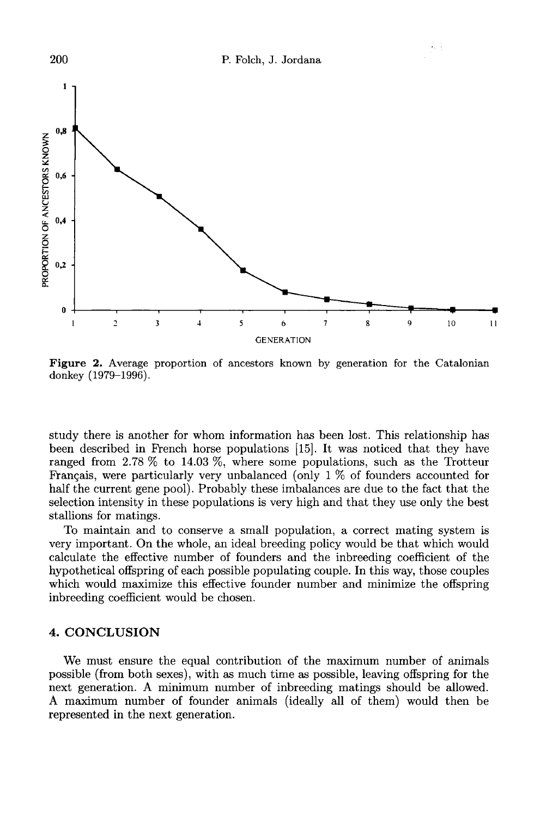

Figure 2. Average proportion of ancestors known by generation for the Catalonian donkey (1979-1996).

study there is another for whom information has been lost. This relationship has been described in French horse populations [15]. It was noticed that they have ranged from 2.78 % to 14.03 %, where some populations, such as the Trotteur Français, were particularly very unbalanced (only  $1\%$  of founders accounted for half the current gene pool). Probably these imbalances are due to the fact that the selection intensity in these populations is very high and that they use only the best stallions for matings.

To maintain and to conserve a small population, a correct mating system is very important. On the whole, an ideal breeding policy would be that which would calculate the effective number of founders and the inbreeding coefficient of the hypothetical offspring of each possible populating couple. In this way, those couples which would maximize this effective founder number and minimize the offspring inbreeding coefficient would be chosen.

## 4. CONCLUSION

We must ensure the equal contribution of the maximum number of animals possible (from both sexes), with as much time as possible, leaving offspring for the next generation. A minimum number of inbreeding matings should be allowed. A maximum number of founder animals (ideally all of them) would then be represented in the next generation.